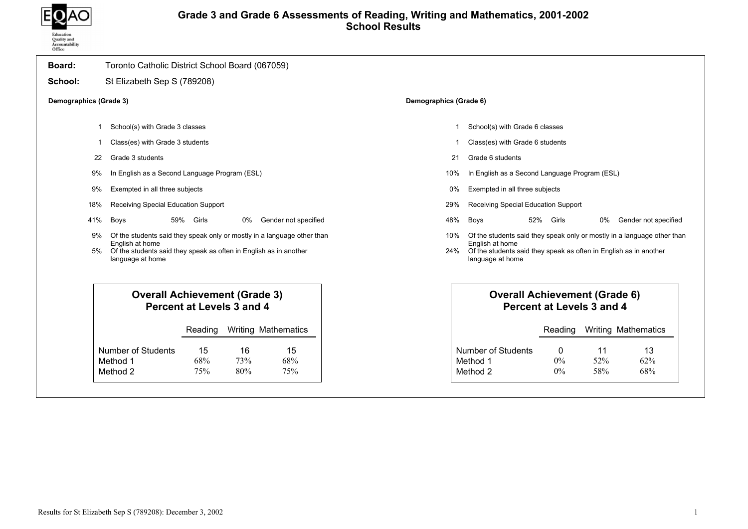

## Grade 3 and Grade 6 Assessments of Reading, Writing and Mathematics, 2001-2002 School Results

| Board:                 | Toronto Catholic District School Board (067059)                                                                                                                                     |                        |                                                                                                                                                                                     |
|------------------------|-------------------------------------------------------------------------------------------------------------------------------------------------------------------------------------|------------------------|-------------------------------------------------------------------------------------------------------------------------------------------------------------------------------------|
| School:                | St Elizabeth Sep S (789208)                                                                                                                                                         |                        |                                                                                                                                                                                     |
| Demographics (Grade 3) |                                                                                                                                                                                     | Demographics (Grade 6) |                                                                                                                                                                                     |
|                        | School(s) with Grade 3 classes                                                                                                                                                      |                        | School(s) with Grade 6 classes                                                                                                                                                      |
|                        | Class(es) with Grade 3 students                                                                                                                                                     |                        | Class(es) with Grade 6 students                                                                                                                                                     |
| 22                     | Grade 3 students                                                                                                                                                                    | 21                     | Grade 6 students                                                                                                                                                                    |
| 9%                     | In English as a Second Language Program (ESL)                                                                                                                                       | 10%                    | In English as a Second Language Program (ESL)                                                                                                                                       |
| 9%                     | Exempted in all three subjects                                                                                                                                                      | 0%                     | Exempted in all three subjects                                                                                                                                                      |
| 18%                    | Receiving Special Education Support                                                                                                                                                 | 29%                    | Receiving Special Education Support                                                                                                                                                 |
| 41%                    | Boys<br>59% Girls<br>0%<br>Gender not specified                                                                                                                                     | 48%                    | 52% Girls<br>Boys<br>Gender not specified<br>0%                                                                                                                                     |
| 9%<br>5%               | Of the students said they speak only or mostly in a language other than<br>English at home<br>Of the students said they speak as often in English as in another<br>language at home | 10%<br>24%             | Of the students said they speak only or mostly in a language other than<br>English at home<br>Of the students said they speak as often in English as in another<br>language at home |
|                        | <b>Overall Achievement (Grade 3)</b><br>Percent at Levels 3 and 4                                                                                                                   |                        | <b>Overall Achievement (Grade 6)</b><br>Percent at Levels 3 and 4                                                                                                                   |
|                        | <b>Writing Mathematics</b><br>Reading                                                                                                                                               |                        | Reading<br><b>Writing Mathematics</b>                                                                                                                                               |
|                        | <b>Number of Students</b><br>16<br>15<br>15<br>Method 1<br>68%<br>68%<br>73%<br>Method 2<br>75%<br>80%<br>75%                                                                       |                        | <b>Number of Students</b><br>11<br>13<br>0<br>Method 1<br>52%<br>62%<br>0%<br>Method 2<br>$0\%$<br>58%<br>68%                                                                       |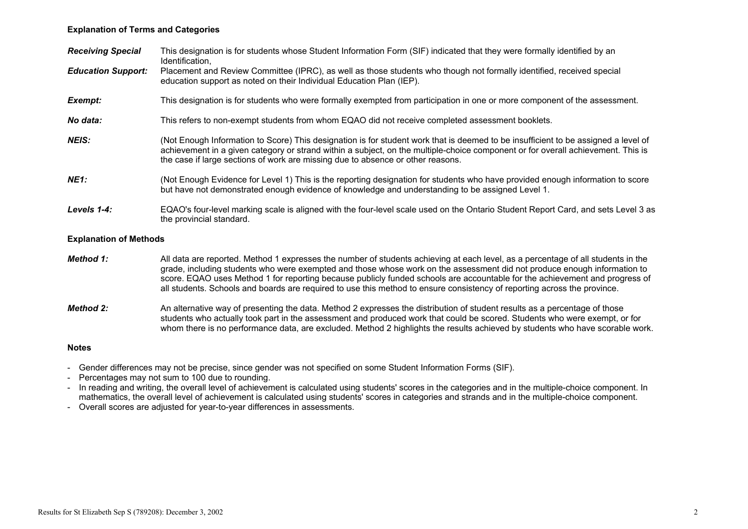### Explanation of Terms and Categories

| <b>Receiving Special</b>      | This designation is for students whose Student Information Form (SIF) indicated that they were formally identified by an<br>Identification,                                                                                                                                                                                                                                                                                                                                                                             |
|-------------------------------|-------------------------------------------------------------------------------------------------------------------------------------------------------------------------------------------------------------------------------------------------------------------------------------------------------------------------------------------------------------------------------------------------------------------------------------------------------------------------------------------------------------------------|
| <b>Education Support:</b>     | Placement and Review Committee (IPRC), as well as those students who though not formally identified, received special<br>education support as noted on their Individual Education Plan (IEP).                                                                                                                                                                                                                                                                                                                           |
| Exempt:                       | This designation is for students who were formally exempted from participation in one or more component of the assessment.                                                                                                                                                                                                                                                                                                                                                                                              |
| No data:                      | This refers to non-exempt students from whom EQAO did not receive completed assessment booklets.                                                                                                                                                                                                                                                                                                                                                                                                                        |
| <b>NEIS:</b>                  | (Not Enough Information to Score) This designation is for student work that is deemed to be insufficient to be assigned a level of<br>achievement in a given category or strand within a subject, on the multiple-choice component or for overall achievement. This is<br>the case if large sections of work are missing due to absence or other reasons.                                                                                                                                                               |
| <b>NE1:</b>                   | (Not Enough Evidence for Level 1) This is the reporting designation for students who have provided enough information to score<br>but have not demonstrated enough evidence of knowledge and understanding to be assigned Level 1.                                                                                                                                                                                                                                                                                      |
| Levels 1-4:                   | EQAO's four-level marking scale is aligned with the four-level scale used on the Ontario Student Report Card, and sets Level 3 as<br>the provincial standard.                                                                                                                                                                                                                                                                                                                                                           |
| <b>Explanation of Methods</b> |                                                                                                                                                                                                                                                                                                                                                                                                                                                                                                                         |
| Method 1:                     | All data are reported. Method 1 expresses the number of students achieving at each level, as a percentage of all students in the<br>grade, including students who were exempted and those whose work on the assessment did not produce enough information to<br>score. EQAO uses Method 1 for reporting because publicly funded schools are accountable for the achievement and progress of<br>all students. Schools and boards are required to use this method to ensure consistency of reporting across the province. |
| <b>Method 2:</b>              | An alternative way of presenting the data. Method 2 expresses the distribution of student results as a percentage of those<br>students who actually took part in the assessment and produced work that could be scored. Students who were exempt, or for<br>whom there is no performance data, are excluded. Method 2 highlights the results achieved by students who have scorable work.                                                                                                                               |

#### Notes

- Gender differences may not be precise, since gender was not specified on some Student Information Forms (SIF).
- Percentages may not sum to 100 due to rounding.
- In reading and writing, the overall level of achievement is calculated using students' scores in the categories and in the multiple-choice component. In mathematics, the overall level of achievement is calculated using students' scores in categories and strands and in the multiple-choice component.
- Overall scores are adjusted for year-to-year differences in assessments.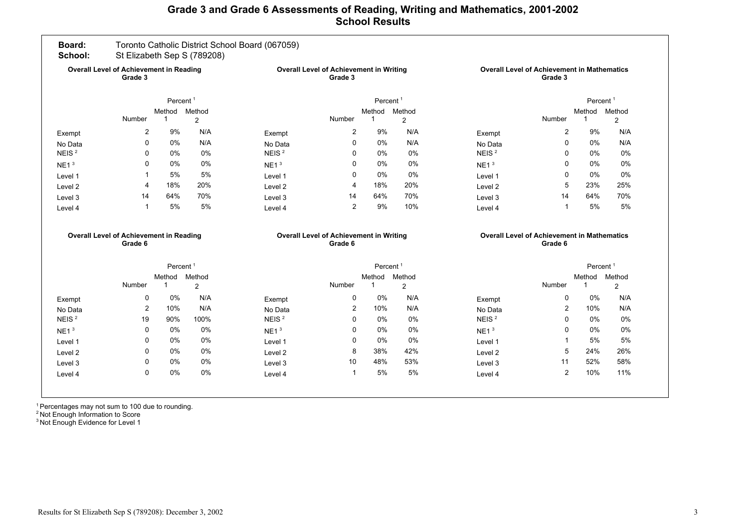## Grade 3 and Grade 6 Assessments of Reading, Writing and Mathematics, 2001-2002 School Results

| Board:<br>School:                                         |                                                           |                      | St Elizabeth Sep S (789208)                        | Toronto Catholic District School Board (067059) |                                                           |             |                                                               |                      |                                                               |                       |                          |
|-----------------------------------------------------------|-----------------------------------------------------------|----------------------|----------------------------------------------------|-------------------------------------------------|-----------------------------------------------------------|-------------|---------------------------------------------------------------|----------------------|---------------------------------------------------------------|-----------------------|--------------------------|
| <b>Overall Level of Achievement in Reading</b><br>Grade 3 |                                                           |                      | Overall Level of Achievement in Writing<br>Grade 3 |                                                 |                                                           |             | <b>Overall Level of Achievement in Mathematics</b><br>Grade 3 |                      |                                                               |                       |                          |
| Percent <sup>1</sup>                                      |                                                           |                      |                                                    | Percent <sup>1</sup>                            |                                                           |             |                                                               | Percent <sup>1</sup> |                                                               |                       |                          |
|                                                           | Number                                                    | Method<br>1          | Method<br>2                                        |                                                 | Number                                                    | Method<br>1 | Method<br>$\overline{2}$                                      |                      | Number                                                        | Method<br>$\mathbf 1$ | Method<br>$\overline{c}$ |
| Exempt                                                    | 2                                                         | 9%                   | N/A                                                | Exempt                                          | $\overline{2}$                                            | 9%          | N/A                                                           | Exempt               | 2                                                             | 9%                    | N/A                      |
| No Data                                                   | $\Omega$                                                  | $0\%$                | N/A                                                | No Data                                         | 0                                                         | $0\%$       | N/A                                                           | No Data              | 0                                                             | 0%                    | N/A                      |
| NEIS <sup>2</sup>                                         | $\Omega$                                                  | $0\%$                | 0%                                                 | NEIS <sup>2</sup>                               | 0                                                         | $0\%$       | 0%                                                            | NEIS <sup>2</sup>    | $\mathbf{0}$                                                  | 0%                    | $0\%$                    |
| NE1 <sup>3</sup>                                          | $\Omega$                                                  | $0\%$                | 0%                                                 | NE1 <sup>3</sup>                                | $\Omega$                                                  | $0\%$       | $0\%$                                                         | NE1 <sup>3</sup>     | $\mathbf{0}$                                                  | $0\%$                 | 0%                       |
| Level 1                                                   | -1                                                        | 5%                   | 5%                                                 | Level 1                                         | $\Omega$                                                  | 0%          | 0%                                                            | Level 1              | $\Omega$                                                      | 0%                    | $0\%$                    |
| Level 2                                                   | 4                                                         | 18%                  | 20%                                                | Level 2                                         | $\overline{4}$                                            | 18%         | 20%                                                           | Level 2              | 5                                                             | 23%                   | 25%                      |
| Level 3                                                   | 14                                                        | 64%                  | 70%                                                | Level 3                                         | 14                                                        | 64%         | 70%                                                           | Level 3              | 14                                                            | 64%                   | 70%                      |
| Level 4                                                   | $\overline{1}$                                            | 5%                   | 5%                                                 | Level 4                                         | $\overline{2}$                                            | 9%          | 10%                                                           | Level 4              | 1                                                             | 5%                    | 5%                       |
|                                                           | <b>Overall Level of Achievement in Reading</b><br>Grade 6 |                      |                                                    |                                                 | <b>Overall Level of Achievement in Writing</b><br>Grade 6 |             |                                                               |                      | <b>Overall Level of Achievement in Mathematics</b><br>Grade 6 |                       |                          |
|                                                           |                                                           | Percent <sup>1</sup> |                                                    |                                                 | Percent <sup>1</sup>                                      |             |                                                               | Percent <sup>1</sup> |                                                               |                       |                          |
|                                                           |                                                           | Method               | Method                                             |                                                 |                                                           | Method      | Method                                                        |                      |                                                               | Method Method         |                          |
|                                                           | <b>Number</b>                                             | $\mathbf{1}$         | 2                                                  |                                                 | Number                                                    | $\mathbf 1$ | $\overline{2}$                                                |                      | Number                                                        | $\mathbf{1}$          | $\overline{2}$           |
| Exempt                                                    | $\mathbf 0$                                               | 0%                   | N/A                                                | Exempt                                          | 0                                                         | 0%          | N/A                                                           | Exempt               | 0                                                             | 0%                    | N/A                      |
| No Data                                                   | 2                                                         | 10%                  | N/A                                                | No Data                                         | 2                                                         | 10%         | N/A                                                           | No Data              | 2                                                             | 10%                   | N/A                      |
|                                                           | 19                                                        | 90%                  | 100%                                               | NEIS <sup>2</sup>                               | $\Omega$                                                  | $0\%$       | 0%                                                            | NEIS <sup>2</sup>    | $\Omega$                                                      | 0%                    | $0\%$                    |
| NEIS <sup>2</sup>                                         |                                                           |                      | 0%                                                 | NE1 <sup>3</sup>                                | $\Omega$                                                  | 0%          | 0%                                                            | NE1 <sup>3</sup>     | $\Omega$                                                      | $0\%$                 | 0%                       |
| NE1 <sup>3</sup>                                          | 0                                                         | 0%                   |                                                    |                                                 | $\mathbf 0$                                               | 0%          | 0%                                                            | Level 1              | 1                                                             | 5%                    | 5%                       |
| Level 1                                                   | 0                                                         | 0%                   | 0%                                                 | Level 1                                         |                                                           |             |                                                               |                      |                                                               |                       |                          |
| Level <sub>2</sub>                                        | $\mathbf 0$                                               | $0\%$                | 0%                                                 | Level <sub>2</sub>                              | 8                                                         | 38%         | 42%                                                           | Level <sub>2</sub>   | 5                                                             | 24%                   | 26%                      |
| Level 3                                                   | $\mathbf 0$<br>$\mathbf 0$                                | $0\%$<br>0%          | 0%<br>0%                                           | Level 3                                         | 10<br>$\mathbf{1}$                                        | 48%<br>5%   | 53%<br>5%                                                     | Level 3              | 11<br>$\overline{2}$                                          | 52%<br>10%            | 58%<br>11%               |

<sup>1</sup> Percentages may not sum to 100 due to rounding.

<sup>2</sup> Not Enough Information to Score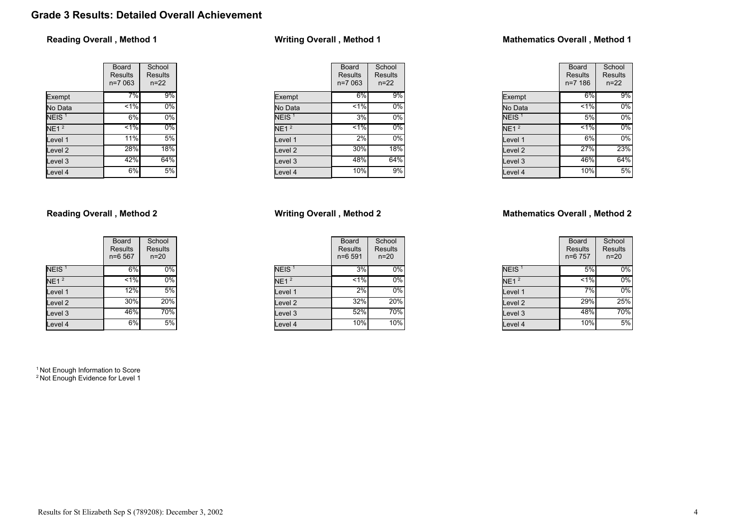# Grade 3 Results: Detailed Overall Achievement

### Reading Overall , Method 1

|                    | Board<br><b>Results</b><br>$n=7063$ | School<br><b>Results</b><br>$n = 22$ |
|--------------------|-------------------------------------|--------------------------------------|
| Exempt             | 7%                                  | 9%                                   |
| No Data            | $\leq 1\%$                          | $0\%$                                |
| NEIS <sup>1</sup>  | 6%                                  | 0%                                   |
| NE1 <sup>2</sup>   | $1\%$                               | $0\%$                                |
| Level 1            | 11%                                 | 5%                                   |
| Level <sub>2</sub> | 28%                                 | 18%                                  |
| Level 3            | 42%                                 | 64%                                  |
| Level 4            | 6%                                  | 5%                                   |

### Reading Overall , Method 2

|                    | Board<br><b>Results</b><br>n=6 567 | School<br><b>Results</b><br>$n = 20$ |
|--------------------|------------------------------------|--------------------------------------|
| NEIS <sup>1</sup>  | 6%                                 | $0\%$                                |
| NE1 <sup>2</sup>   | $< 1\%$                            | $0\%$                                |
| Level 1            | 12%                                | $5\%$                                |
| Level <sub>2</sub> | 30%                                | 20%                                  |
| Level <sub>3</sub> | 46%                                | 70%                                  |
| Level 4            | 6%                                 | 5%                                   |

<sup>1</sup> Not Enough Information to Score <sup>2</sup> Not Enough Evidence for Level 1

## Writing Overall , Method 1

| Board<br>Results<br>n=7 063 | School<br>Results<br>$n = 22$ |
|-----------------------------|-------------------------------|
| 6%                          | 9%                            |
| 1%                          | 0%                            |
| 3%                          | 0%                            |
| $1\%$                       | $0\%$                         |
| 2%                          | $0\%$                         |
| 30%                         | 18%                           |
| 48%                         | 64%                           |
| 10%                         | 9%                            |
|                             |                               |

### Writing Overall , Method 2

|                   | <b>Board</b><br><b>Results</b><br>$n = 6591$ | School<br><b>Results</b><br>$n = 20$ |
|-------------------|----------------------------------------------|--------------------------------------|
| NEIS <sup>1</sup> | 3%                                           | 0%                                   |
| NE1 <sup>2</sup>  | $1\%$                                        | 0%                                   |
| Level 1           | 2%                                           | 0%                                   |
| Level 2           | 32%                                          | 20%                                  |
| Level 3           | 52%                                          | 70%                                  |
| Level 4           | 10%                                          | 10%                                  |

### Mathematics Overall , Method 1

|                   | Board<br><b>Results</b><br>$n = 7186$ | School<br>Results<br>$n = 22$ |
|-------------------|---------------------------------------|-------------------------------|
| Exempt            | 6%                                    | 9%                            |
| No Data           | 1%                                    | 0%                            |
| NEIS <sup>1</sup> | 5%                                    | 0%                            |
| NE1 <sup>2</sup>  | $1\%$                                 | 0%                            |
| Level 1           | 6%                                    | 0%                            |
| Level 2           | 27%                                   | 23%                           |
| Level 3           | 46%                                   | 64%                           |
| Level 4           | 10%                                   | 5%                            |

### Mathematics Overall , Method 2

|                   | Board<br><b>Results</b><br>n=6 757 | School<br><b>Results</b><br>$n = 20$ |
|-------------------|------------------------------------|--------------------------------------|
| NEIS <sup>1</sup> | 5%                                 | 0%                                   |
| NE1 <sup>2</sup>  | $1\%$                              | 0%                                   |
| Level 1           | 7%                                 | 0%                                   |
| Level 2           | 29%                                | 25%                                  |
| Level 3           | 48%                                | 70%                                  |
| Level 4           | 10%                                | 5%                                   |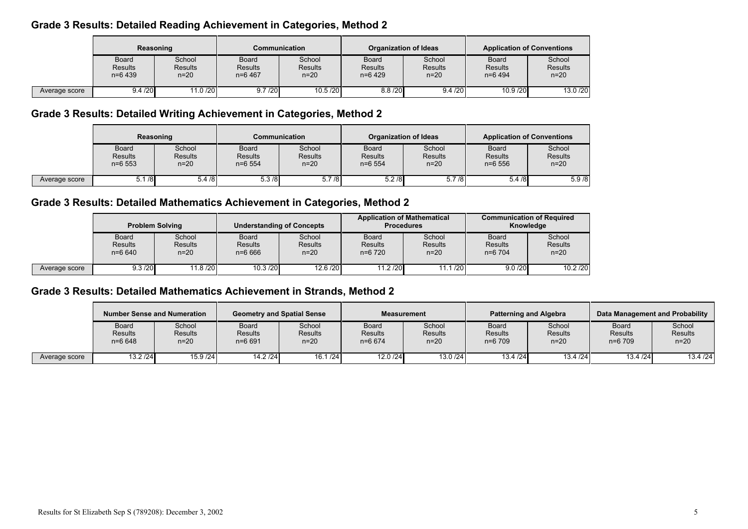## Grade 3 Results: Detailed Reading Achievement in Categories, Method 2

|               | Reasoning                                   |                                      | <b>Communication</b>                        |                               | <b>Organization of Ideas</b>                |                                      | <b>Application of Conventions</b>           |                                      |
|---------------|---------------------------------------------|--------------------------------------|---------------------------------------------|-------------------------------|---------------------------------------------|--------------------------------------|---------------------------------------------|--------------------------------------|
|               | <b>Board</b><br><b>Results</b><br>$n=6$ 439 | School<br><b>Results</b><br>$n = 20$ | <b>Board</b><br><b>Results</b><br>$n=6$ 467 | School<br>Results<br>$n = 20$ | <b>Board</b><br><b>Results</b><br>$n=6$ 429 | School<br><b>Results</b><br>$n = 20$ | <b>Board</b><br><b>Results</b><br>$n=6$ 494 | School<br><b>Results</b><br>$n = 20$ |
| Average score | 9.4 / 20                                    | 11.0 /20                             | 9.7 / 20                                    | 10.5 /20                      | 8.8 / 20                                    | 9.4 / 20                             | 10.9/20                                     | 13.0 /20                             |

# Grade 3 Results: Detailed Writing Achievement in Categories, Method 2

|               | Reasoning                                    |                                    | Communication                        |                                    | Organization of Ideas                |                                    | <b>Application of Conventions</b>     |                                      |
|---------------|----------------------------------------------|------------------------------------|--------------------------------------|------------------------------------|--------------------------------------|------------------------------------|---------------------------------------|--------------------------------------|
|               | <b>Board</b><br><b>Results</b><br>$n = 6553$ | School<br><b>Results</b><br>$n=20$ | <b>Board</b><br>Results<br>$n=6$ 554 | School<br><b>Results</b><br>$n=20$ | Board<br><b>Results</b><br>$n=6$ 554 | School<br><b>Results</b><br>$n=20$ | Board<br><b>Results</b><br>$n = 6556$ | School<br><b>Results</b><br>$n = 20$ |
| Average score | /8                                           | 5.4/8                              | 5.3/8                                | 5.7/8                              | 5.2/8                                | 5.7/8                              | 5.4/8                                 | 5.9/8                                |

# Grade 3 Results: Detailed Mathematics Achievement in Categories, Method 2

|               | <b>Problem Solving</b>                       |                                  | <b>Understanding of Concepts</b>           |                                      | <b>Application of Mathematical</b><br><b>Procedures</b> |                                      | <b>Communication of Required</b><br>Knowledge |                                      |
|---------------|----------------------------------------------|----------------------------------|--------------------------------------------|--------------------------------------|---------------------------------------------------------|--------------------------------------|-----------------------------------------------|--------------------------------------|
|               | <b>Board</b><br><b>Results</b><br>$n = 6640$ | School<br><b>Results</b><br>n=20 | <b>Board</b><br><b>Results</b><br>$n=6666$ | School<br><b>Results</b><br>$n = 20$ | Board<br><b>Results</b><br>$n=6$ 720                    | School<br><b>Results</b><br>$n = 20$ | <b>Board</b><br><b>Results</b><br>$n=6$ 704   | School<br><b>Results</b><br>$n = 20$ |
| Average score | 9.3 / 20                                     | 11.8 /20                         | 10.3 / 20                                  | 12.6/20                              | 11.2 / 20                                               | 11.1/20                              | 9.0 / 20                                      | 10.2 / 20                            |

## Grade 3 Results: Detailed Mathematics Achievement in Strands, Method 2

|               |                                | <b>Number Sense and Numeration</b> | <b>Geometry and Spatial Sense</b>     |                                    | <b>Measurement</b>                  |                                    | <b>Patterning and Algebra</b>        |                                      |                                             | Data Management and Probability    |
|---------------|--------------------------------|------------------------------------|---------------------------------------|------------------------------------|-------------------------------------|------------------------------------|--------------------------------------|--------------------------------------|---------------------------------------------|------------------------------------|
|               | Board<br>Results<br>$n = 6648$ | School<br><b>Results</b><br>$n=20$ | Board<br><b>Results</b><br>$n = 6691$ | School<br><b>Results</b><br>$n=20$ | Board<br><b>Results</b><br>$n=6674$ | School<br><b>Results</b><br>$n=20$ | Board<br><b>Results</b><br>$n=6$ 709 | School<br><b>Results</b><br>$n = 20$ | <b>Board</b><br><b>Results</b><br>$n=6$ 709 | School<br><b>Results</b><br>$n=20$ |
| Average score | 13.2 / 24                      | 15.9 / 24                          | 14.2 / 24                             | 16.1 / 24                          | 12.0 /24                            | 13.0 /24                           | 13.4 / 24                            | 13.4 / 24                            | 13.4 / 24                                   | 13.4 / 24                          |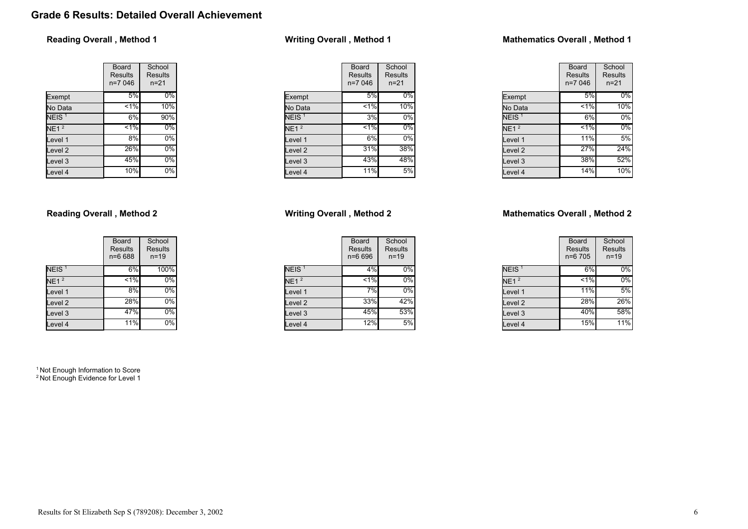# Grade 6 Results: Detailed Overall Achievement

### Reading Overall , Method 1

|                    | Board<br>Results<br>n=7 046 | School<br><b>Results</b><br>$n = 21$ |
|--------------------|-----------------------------|--------------------------------------|
| Exempt             | 5%                          | $0\%$                                |
| No Data            | 1%                          | 10%                                  |
| NEIS <sup>1</sup>  | 6%                          | 90%                                  |
| NE1 <sup>2</sup>   | $1\%$                       | $0\%$                                |
| Level 1            | 8%                          | 0%                                   |
| Level <sub>2</sub> | 26%                         | $0\%$                                |
| Level <sub>3</sub> | 45%                         | $0\%$                                |
| Level 4            | 10%                         | $0\%$                                |

### Reading Overall , Method 2

|                    | Board<br><b>Results</b><br>n=6 688 | School<br>Results<br>$n = 19$ |
|--------------------|------------------------------------|-------------------------------|
| NEIS <sup>1</sup>  | 6%                                 | 100%                          |
| NE1 <sup>2</sup>   | $< 1\%$                            | 0%                            |
| Level 1            | 8%                                 | $0\%$                         |
| Level <sub>2</sub> | 28%                                | 0%                            |
| Level <sub>3</sub> | 47%                                | 0%                            |
| Level 4            | 11%                                | 0%                            |

<sup>1</sup> Not Enough Information to Score <sup>2</sup> Not Enough Evidence for Level 1

## Writing Overall , Method 1

|                    | Board<br>Results<br>n=7 046 | School<br>Results<br>$n = 21$ |
|--------------------|-----------------------------|-------------------------------|
| Exempt             | 5%                          | $0\%$                         |
| No Data            | $< 1\%$                     | 10%                           |
| NEIS <sup>1</sup>  | 3%                          | 0%                            |
| NE1 <sup>2</sup>   | $1\%$                       | 0%                            |
| Level 1            | 6%                          | 0%                            |
| Level <sub>2</sub> | 31%                         | 38%                           |
| Level <sub>3</sub> | 43%                         | 48%                           |
| Level 4            | 11%                         | 5%                            |

### Writing Overall , Method 2

|                   | Board<br><b>Results</b><br>n=6 696 | School<br>Results<br>$n = 19$ |
|-------------------|------------------------------------|-------------------------------|
| NEIS <sup>1</sup> | 4%                                 | $0\%$                         |
| NE1 <sup>2</sup>  | $1\%$                              | 0%                            |
| Level 1           | 7%                                 | 0%                            |
| Level 2           | 33%                                | 42%                           |
| Level 3           | 45%                                | 53%                           |
| Level 4           | $12\%$                             | 5%                            |

### Mathematics Overall , Method 1

|                   | Board<br><b>Results</b><br>$n=7046$ | School<br><b>Results</b><br>$n = 21$ |
|-------------------|-------------------------------------|--------------------------------------|
| Exempt            | 5%                                  | $0\%$                                |
| No Data           | 1%                                  | 10%                                  |
| NEIS <sup>1</sup> | 6%                                  | 0%                                   |
| NE1 <sup>2</sup>  | $1\%$                               | 0%                                   |
| Level 1           | 11%                                 | 5%                                   |
| Level 2           | 27%                                 | 24%                                  |
| Level 3           | 38%                                 | 52%                                  |
| Level 4           | 14%                                 | 10%                                  |

### Mathematics Overall , Method 2

|                   | Board<br><b>Results</b><br>n=6 705 | School<br><b>Results</b><br>$n = 19$ |
|-------------------|------------------------------------|--------------------------------------|
| NEIS <sup>1</sup> | 6%                                 | 0%                                   |
| NE1 <sup>2</sup>  | $1\%$                              | 0%                                   |
| Level 1           | 11%                                | 5%                                   |
| Level 2           | 28%                                | 26%                                  |
| Level 3           | 40%                                | 58%                                  |
| Level 4           | 15%                                | $11\overline{\%}$                    |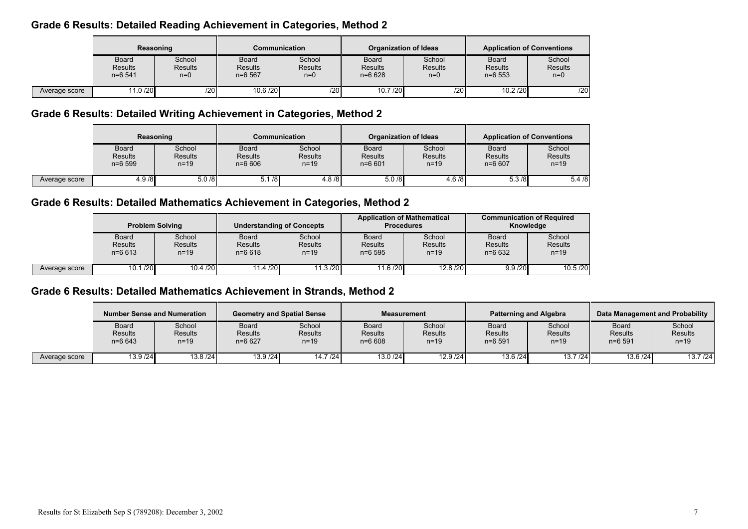## Grade 6 Results: Detailed Reading Achievement in Categories, Method 2

|               | Reasoning                            |                                   | Communication                              |                                   | <b>Organization of Ideas</b>                 |                                   | <b>Application of Conventions</b>            |                                   |
|---------------|--------------------------------------|-----------------------------------|--------------------------------------------|-----------------------------------|----------------------------------------------|-----------------------------------|----------------------------------------------|-----------------------------------|
|               | Board<br><b>Results</b><br>$n=6$ 541 | School<br><b>Results</b><br>$n=0$ | <b>Board</b><br><b>Results</b><br>$n=6567$ | School<br><b>Results</b><br>$n=0$ | <b>Board</b><br><b>Results</b><br>$n = 6628$ | School<br><b>Results</b><br>$n=0$ | <b>Board</b><br><b>Results</b><br>$n = 6553$ | School<br><b>Results</b><br>$n=0$ |
| Average score | 11.0 /20                             | /20                               | 10.6 / 20                                  | $\overline{720}$ l                | 10.7/20                                      | /20                               | 10.2 / 20                                    | /20                               |

# Grade 6 Results: Detailed Writing Achievement in Categories, Method 2

|               | Reasoning                                    |                                  | Communication                         |                                      | Organization of Ideas                 |                                    | <b>Application of Conventions</b>          |                                      |
|---------------|----------------------------------------------|----------------------------------|---------------------------------------|--------------------------------------|---------------------------------------|------------------------------------|--------------------------------------------|--------------------------------------|
|               | <b>Board</b><br><b>Results</b><br>$n = 6599$ | School<br><b>Results</b><br>n=19 | <b>Board</b><br>Results<br>$n = 6606$ | School<br><b>Results</b><br>$n = 19$ | Board<br><b>Results</b><br>$n = 6601$ | School<br><b>Results</b><br>$n=19$ | <b>Board</b><br><b>Results</b><br>$n=6607$ | School<br><b>Results</b><br>$n = 19$ |
| Average score | 4.9/8                                        | 5.0/8                            | 5.1/8                                 | 4.8/8                                | 5.0/8                                 | 4.6/8                              | 5.3/8                                      | 5.4/8                                |

# Grade 6 Results: Detailed Mathematics Achievement in Categories, Method 2

|               | <b>Problem Solving</b>                       |                                      | <b>Understanding of Concepts</b>             |                                      | <b>Application of Mathematical</b><br><b>Procedures</b> |                                      | <b>Communication of Required</b><br>Knowledge |                                      |
|---------------|----------------------------------------------|--------------------------------------|----------------------------------------------|--------------------------------------|---------------------------------------------------------|--------------------------------------|-----------------------------------------------|--------------------------------------|
|               | <b>Board</b><br><b>Results</b><br>$n = 6613$ | School<br><b>Results</b><br>$n = 19$ | <b>Board</b><br><b>Results</b><br>$n = 6618$ | School<br><b>Results</b><br>$n = 19$ | <b>Board</b><br><b>Results</b><br>$n = 6595$            | School<br><b>Results</b><br>$n = 19$ | <b>Board</b><br><b>Results</b><br>$n=6632$    | School<br><b>Results</b><br>$n = 19$ |
| Average score | 10.1 / 20                                    | 10.4 / 20                            | 11.4 / 20                                    | 11.3 / 20                            | 11.6 / 20                                               | 12.8 / 20                            | 9.9 / 20                                      | 10.5 / 20                            |

## Grade 6 Results: Detailed Mathematics Achievement in Strands, Method 2

|               | Number Sense and Numeration           |                               | <b>Geometry and Spatial Sense</b> |                               | <b>Measurement</b>                    |                                    | <b>Patterning and Algebra</b>         |                                      | Data Management and Probability             |                                    |
|---------------|---------------------------------------|-------------------------------|-----------------------------------|-------------------------------|---------------------------------------|------------------------------------|---------------------------------------|--------------------------------------|---------------------------------------------|------------------------------------|
|               | Board<br><b>Results</b><br>$n = 6643$ | School<br>Results<br>$n = 19$ | Board<br>Results<br>$n=6627$      | School<br>Results<br>$n = 19$ | Board<br><b>Results</b><br>$n = 6608$ | School<br><b>Results</b><br>$n=19$ | Board<br><b>Results</b><br>$n = 6591$ | School<br><b>Results</b><br>$n = 19$ | <b>Board</b><br><b>Results</b><br>$n=6$ 591 | School<br><b>Results</b><br>$n=19$ |
| Average score | 13.9 / 24                             | 13.8/24                       | 13.9 / 24                         | 14.7/24                       | 13.0 /24                              | 12.9 / 24                          | 13.6 / 24                             | 13.7 / 24                            | 13.6 / 24                                   | 13.7 / 24                          |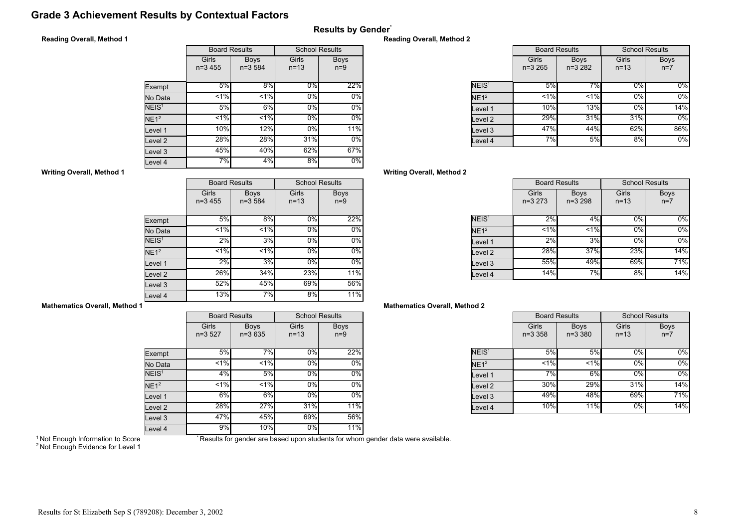## Grade 3 Achievement Results by Contextual Factors

### Results by Gender\*

### Reading Overall, Method 1

|                   |           | <b>Board Results</b> | <b>School Results</b> |             |  |  |
|-------------------|-----------|----------------------|-----------------------|-------------|--|--|
|                   | Girls     | <b>Boys</b>          | Girls                 | <b>Boys</b> |  |  |
|                   | $n=3,455$ | $n=3584$             | $n=13$                | $n=9$       |  |  |
|                   |           |                      |                       |             |  |  |
| Exempt            | 5%        | 8%                   | $0\%$                 | 22%         |  |  |
| No Data           | $1\%$     | 1%                   | 0%                    | $0\%$       |  |  |
| NEIS <sup>1</sup> | 5%        | 6%                   | 0%                    | $0\%$       |  |  |
| NE1 <sup>2</sup>  | $1\%$     | $1\%$                | 0%                    | $0\%$       |  |  |
| Level 1           | 10%       | 12%                  | 0%                    | 11%         |  |  |
| Level 2           | 28%       | 28%                  | 31%                   | $0\%$       |  |  |
| Level 3           | 45%       | 40%                  | 62%                   | 67%         |  |  |
| Level 4           | 7%        | 4%                   | 8%                    | $0\%$       |  |  |

#### Reading Overall, Method 2

|                   |                      | <b>Board Results</b>    | <b>School Results</b> |                      |
|-------------------|----------------------|-------------------------|-----------------------|----------------------|
|                   | Girls<br>$n = 3,265$ | <b>Boys</b><br>$n=3282$ | Girls<br>$n = 13$     | <b>Boys</b><br>$n=7$ |
| NEIS <sup>1</sup> | 5%                   | 7%                      | $0\%$                 | $0\%$                |
| NE1 <sup>2</sup>  | 1%                   | 1%                      | 0%                    | $0\%$                |
| Level 1           | 10%                  | 13%                     | 0%                    | 14%                  |
| evel 2.           | 29%                  | 31%                     | 31%                   | $0\%$                |
| Level 3           | 47%                  | 44%                     | 62%                   | 86%                  |
| Level 4           | 7%                   | 5%                      | 8%                    | $0\%$                |

### Writing Overall, Method 2

|                   | <b>Board Results</b> |                           | <b>School Results</b> |                      |
|-------------------|----------------------|---------------------------|-----------------------|----------------------|
|                   | Girls<br>$n=3273$    | <b>Boys</b><br>$n = 3298$ | Girls<br>$n = 13$     | <b>Boys</b><br>$n=7$ |
| NEIS <sup>1</sup> | 2%                   | 4%                        | $0\%$                 | $0\%$                |
| NE1 <sup>2</sup>  | 1%                   | 1%                        | 0%                    | $0\%$                |
| Level 1           | 2%                   | 3%                        | 0%                    | $0\%$                |
| Level 2           | 28%                  | 37%                       | 23%                   | 14%                  |
| Level 3           | 55%                  | 49%                       | 69%                   | 71%                  |
| Level 4           | 14%                  | 7%                        | 8%                    | 14%                  |

### Mathematics Overall, Method 2

|                   | <b>Board Results</b> |                            | <b>School Results</b> |                      |
|-------------------|----------------------|----------------------------|-----------------------|----------------------|
|                   | Girls<br>$n = 3,358$ | <b>Boys</b><br>$n = 3,380$ | Girls<br>$n = 13$     | <b>Boys</b><br>$n=7$ |
| NEIS <sup>1</sup> | 5%                   | 5%                         | $0\%$                 | $0\%$                |
| NE1 <sup>2</sup>  | $< 1\%$              | $< 1\%$                    | 0%                    | 0%                   |
| Level 1           | 7%                   | 6%                         | 0%                    | $0\%$                |
| Level 2           | 30%                  | 29%                        | 31%                   | 14%                  |
| Level 3           | 49%                  | 48%                        | 69%                   | 71%                  |
| Level 4           | 10%                  | 11%                        | 0%                    | 14%                  |

### Writing Overall, Method 1

|                   | <b>Board Results</b> |                         | <b>School Results</b> |                      |
|-------------------|----------------------|-------------------------|-----------------------|----------------------|
|                   | Girls<br>$n=3,455$   | <b>Boys</b><br>$n=3584$ | Girls<br>$n = 13$     | <b>Boys</b><br>$n=9$ |
| Exempt            | 5%                   | 8%                      | $0\%$                 | 22%                  |
| No Data           | < 1%                 | $< 1\%$                 | 0%                    | $0\%$                |
| NEIS <sup>1</sup> | $2\%$                | 3%                      | 0%                    | 0%                   |
| NE1 <sup>2</sup>  | 1%                   | $1\%$                   | 0%                    | 0%                   |
| Level 1           | 2%                   | 3%                      | 0%                    | $0\%$                |
| Level 2           | 26%                  | 34%                     | 23%                   | 11%                  |
| Level 3           | 52%                  | 45%                     | 69%                   | 56%                  |
| Level 4           | 13%                  | 7%                      | 8%                    | 11%                  |

### Mathematics Overall, Method 1

|                    | <b>Board Results</b> |                         | <b>School Results</b> |                      |
|--------------------|----------------------|-------------------------|-----------------------|----------------------|
|                    | Girls<br>$n=3,527$   | <b>Boys</b><br>$n=3635$ | Girls<br>$n = 13$     | <b>Boys</b><br>$n=9$ |
| Exempt             | 5%                   | 7%                      | 0%                    | 22%                  |
| No Data            | $< 1\%$              | < 1%                    | 0%                    | 0%                   |
| NEIS <sup>1</sup>  | 4%                   | 5%                      | $0\%$                 | 0%                   |
| NE1 <sup>2</sup>   | 1%                   | $1\%$                   | 0%                    | $0\%$                |
| Level 1            | $6\%$                | $6\%$                   | $0\%$                 | $0\%$                |
| Level <sub>2</sub> | 28%                  | 27%                     | 31%                   | 11%                  |
| Level 3            | 47%                  | 45%                     | 69%                   | 56%                  |
| Level 4            | 9%                   | 10%                     | $0\%$                 | 11%                  |

<sup>1</sup> Not Enough Information to Score

\* Results for gender are based upon students for whom gender data were available.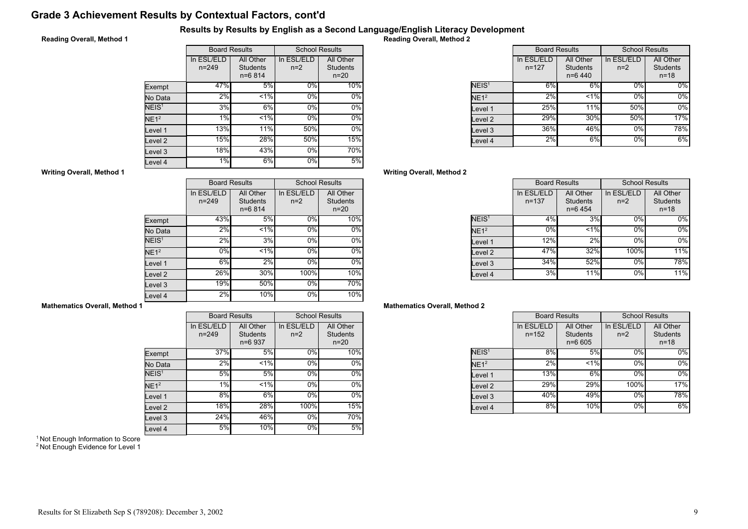# Grade 3 Achievement Results by Contextual Factors, cont'd

### Results by Results by English as a Second Language/English Literacy Development

### Reading Overall, Method 1

|                   | <b>Board Results</b>    |                                            | <b>School Results</b> |                                          |
|-------------------|-------------------------|--------------------------------------------|-----------------------|------------------------------------------|
|                   | In ESL/ELD<br>$n = 249$ | All Other<br><b>Students</b><br>$n = 6814$ | In ESL/ELD<br>$n=2$   | All Other<br><b>Students</b><br>$n = 20$ |
| Exempt            | 47%                     | 5%                                         | $0\%$                 | 10%                                      |
| No Data           | 2%                      | $1\%$                                      | 0%                    | 0%                                       |
| NEIS <sup>1</sup> | 3%                      | 6%                                         | 0%                    | 0%                                       |
| NE1 <sup>2</sup>  | 1%                      | $1\%$                                      | 0%                    | $0\%$                                    |
| Level 1           | 13%                     | 11%                                        | 50%                   | $0\%$                                    |
| evel 2            | 15%                     | 28%                                        | 50%                   | 15%                                      |
| Level 3           | 18%                     | 43%                                        | 0%                    | 70%                                      |
| Level 4           | 1%                      | 6%                                         | 0%                    | 5%                                       |

Reading Overall, Method 2

|                   | <b>Board Results</b>    |                                           | <b>School Results</b> |                                          |
|-------------------|-------------------------|-------------------------------------------|-----------------------|------------------------------------------|
|                   | In ESL/ELD<br>$n = 127$ | All Other<br><b>Students</b><br>$n=6$ 440 | In ESL/ELD<br>$n=2$   | All Other<br><b>Students</b><br>$n = 18$ |
| NEIS <sup>1</sup> | 6%                      | 6%                                        | $0\%$                 | 0%                                       |
| NE1 <sup>2</sup>  | 2%                      | $< 1\%$                                   | 0%                    | 0%                                       |
| evel 1.           | 25%                     | 11%                                       | 50%                   | 0%                                       |
| evel 2.           | 29%                     | 30%                                       | 50%                   | 17%                                      |
| evel 3.           | 36%                     | 46%                                       | 0%                    | 78%                                      |
| evel 4.           | 2%                      | 6%                                        | 0%                    | 6%                                       |

### Writing Overall, Method 2

|                    | <b>Board Results</b>    |                                           | <b>School Results</b> |                                          |
|--------------------|-------------------------|-------------------------------------------|-----------------------|------------------------------------------|
|                    | In ESL/ELD<br>$n = 137$ | All Other<br><b>Students</b><br>$n=6$ 454 | In ESL/ELD<br>$n=2$   | All Other<br><b>Students</b><br>$n = 18$ |
| NEIS <sup>1</sup>  | 4%                      | 3%                                        | $0\%$                 | $0\%$                                    |
| NE1 <sup>2</sup>   | 0%                      | < 1%                                      | 0%                    | $0\%$                                    |
| Level 1            | 12%                     | 2%                                        | 0%                    | $0\%$                                    |
| Level <sub>2</sub> | 47%                     | 32%                                       | 100%                  | 11%                                      |
| Level 3            | 34%                     | 52%                                       | 0%                    | 78%                                      |
| Level 4            | 3%                      | 11%                                       | 0%                    | 11%                                      |

#### Mathematics Overall, Method 2

|                   | <b>Board Results</b>    |                                            | <b>School Results</b> |                                          |
|-------------------|-------------------------|--------------------------------------------|-----------------------|------------------------------------------|
|                   | In ESL/ELD<br>$n = 152$ | All Other<br><b>Students</b><br>$n = 6605$ | In ESL/ELD<br>$n=2$   | All Other<br><b>Students</b><br>$n = 18$ |
| NEIS <sup>1</sup> | 8%                      | 5%                                         | 0%                    | 0%                                       |
| NE1 <sup>2</sup>  | 2%                      | $< 1\%$                                    | 0%                    | 0%                                       |
| Level 1           | 13%                     | 6%                                         | 0%                    | 0%                                       |
| Level 2           | 29%l                    | 29%                                        | 100%                  | 17%                                      |
| Level 3           | 40%                     | 49%                                        | 0%                    | 78%                                      |
| Level 4           | 8%                      | 10%                                        | 0%                    | 6%                                       |

#### Writing Overall, Method 1

|                   | <b>Board Results</b>    |                                          | <b>School Results</b> |                                        |
|-------------------|-------------------------|------------------------------------------|-----------------------|----------------------------------------|
|                   | In ESL/ELD<br>$n = 249$ | All Other<br><b>Students</b><br>$n=6814$ | In ESL/ELD<br>$n=2$   | All Other<br><b>Students</b><br>$n=20$ |
| Exempt            | 43%                     | 5%                                       | 0%                    | 10%                                    |
| No Data           | 2%                      | < 1%                                     | 0%                    | $0\%$                                  |
| NEIS <sup>1</sup> | $2\%$                   | 3%                                       | 0%                    | $0\%$                                  |
| NE1 <sup>2</sup>  | 0%                      | $< 1\%$                                  | 0%                    | $0\%$                                  |
| Level 1           | 6%                      | 2%                                       | 0%                    | $0\%$                                  |
| Level 2           | 26%                     | 30%                                      | 100%                  | 10%                                    |
| Level 3           | 19%                     | 50%                                      | 0%                    | 70%                                    |
| Level 4           | $2\%$                   | 10%                                      | 0%                    | 10%                                    |

### Mathematics Overall, Method 1

|                    |                         | <b>Board Results</b>                    | <b>School Results</b> |                                          |
|--------------------|-------------------------|-----------------------------------------|-----------------------|------------------------------------------|
|                    | In ESL/ELD<br>$n = 249$ | All Other<br><b>Students</b><br>n=6 937 | In ESL/ELD<br>$n=2$   | All Other<br><b>Students</b><br>$n = 20$ |
| Exempt             | 37%                     | 5%                                      | 0%                    | 10%                                      |
| No Data            | 2%                      | 1%                                      | 0%                    | 0%                                       |
| NEIS <sup>1</sup>  | 5%                      | 5%                                      | $0\%$                 | 0%                                       |
| $NE1^2$            | 1%                      | $< 1\%$                                 | 0%                    | $0\%$                                    |
| Level 1            | 8%                      | 6%                                      | $0\%$                 | 0%                                       |
| Level <sub>2</sub> | 18%                     | 28%                                     | 100%                  | 15%                                      |
| Level 3            | 24%                     | 46%                                     | $0\%$                 | 70%                                      |
| Level 4            | 5%                      | 10%                                     | 0%                    | 5%                                       |

<sup>1</sup> Not Enough Information to Score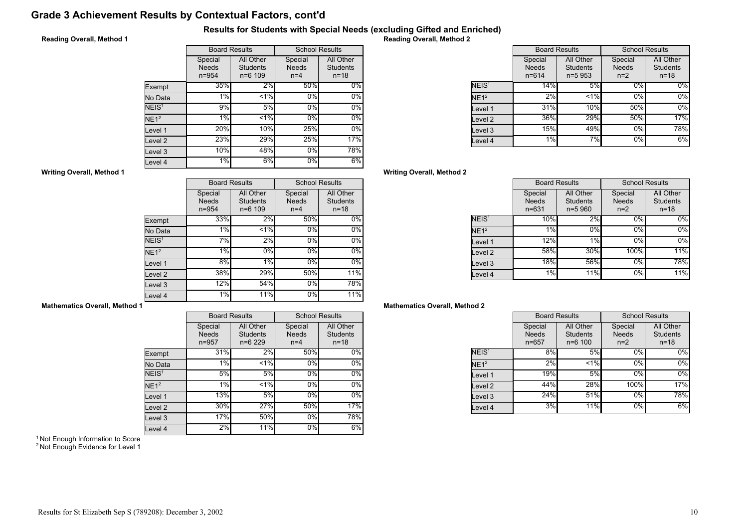# Grade 3 Achievement Results by Contextual Factors, cont'd

### Results for Students with Special Needs (excluding Gifted and Enriched)

### Reading Overall, Method 1

|                   | <b>Board Results</b>                 |                                             | <b>School Results</b>            |                                          |
|-------------------|--------------------------------------|---------------------------------------------|----------------------------------|------------------------------------------|
|                   | Special<br><b>Needs</b><br>$n = 954$ | All Other<br><b>Students</b><br>$n = 6$ 109 | Special<br><b>Needs</b><br>$n=4$ | All Other<br><b>Students</b><br>$n = 18$ |
| Exempt            | 35%                                  | 2%                                          | 50%                              | $0\%$                                    |
| No Data           | 1%                                   | < 1%                                        | 0%                               | $0\%$                                    |
| NEIS <sup>1</sup> | 9%                                   | 5%                                          | 0%                               | 0%                                       |
| NE1 <sup>2</sup>  | 1%                                   | < 1%                                        | 0%                               | $0\%$                                    |
| Level 1           | 20%                                  | 10%                                         | 25%                              | $0\%$                                    |
| evel 2            | 23%                                  | 29%                                         | 25%                              | 17%                                      |
| Level 3           | 10%                                  | 48%                                         | $0\%$                            | 78%                                      |
| evel 4.           | 1%                                   | 6%                                          | 0%                               | 6%                                       |

Reading Overall, Method 2

|                    | <b>Board Results</b>                 |                                            | <b>School Results</b>            |                                          |
|--------------------|--------------------------------------|--------------------------------------------|----------------------------------|------------------------------------------|
|                    | Special<br><b>Needs</b><br>$n = 614$ | All Other<br><b>Students</b><br>$n = 5953$ | Special<br><b>Needs</b><br>$n=2$ | All Other<br><b>Students</b><br>$n = 18$ |
| NEIS <sup>1</sup>  | 14%                                  | 5%                                         | 0%                               | $0\%$                                    |
| NE1 <sup>2</sup>   | 2%                                   | 1%                                         | 0%                               | $0\%$                                    |
| Level 1            | 31%                                  | <b>10%</b>                                 | 50%                              | $0\%$                                    |
| Level <sub>2</sub> | 36%                                  | 29%                                        | 50%                              | 17%                                      |
| Level 3            | 15%                                  | 49%                                        | 0%                               | 78%                                      |
| Level 4            | 1%                                   | 7%                                         | $0\%$                            | 6%                                       |

### Writing Overall, Method 2

|                   | <b>Board Results</b>                 |                                            | <b>School Results</b>            |                                          |
|-------------------|--------------------------------------|--------------------------------------------|----------------------------------|------------------------------------------|
|                   | Special<br><b>Needs</b><br>$n = 631$ | All Other<br><b>Students</b><br>$n = 5960$ | Special<br><b>Needs</b><br>$n=2$ | All Other<br><b>Students</b><br>$n = 18$ |
| NEIS <sup>1</sup> | 10%                                  | 2%                                         | 0%                               | $0\%$                                    |
| NE1 <sup>2</sup>  | 1%                                   | 0%                                         | 0%                               | $0\%$                                    |
| Level 1           | 12%                                  | 1%                                         | 0%                               | $0\%$                                    |
| Level 2           | 58%                                  | 30%                                        | 100%                             | 11%                                      |
| Level 3           | 18%                                  | 56%                                        | $0\%$                            | 78%                                      |
| Level 4           | 1%                                   | 11%                                        | 0%                               | 11%                                      |

### Mathematics Overall, Method 2

|                   | <b>Board Results</b>                 |                                             | <b>School Results</b>            |                                          |
|-------------------|--------------------------------------|---------------------------------------------|----------------------------------|------------------------------------------|
|                   | Special<br><b>Needs</b><br>$n = 657$ | All Other<br><b>Students</b><br>$n = 6 100$ | Special<br><b>Needs</b><br>$n=2$ | All Other<br><b>Students</b><br>$n = 18$ |
| NEIS <sup>1</sup> | 8%                                   | 5%                                          | 0%                               | $0\%$                                    |
| NE1 <sup>2</sup>  | 2%                                   | $1\%$                                       | 0%                               | 0%                                       |
| Level 1           | 19%                                  | 5%                                          | 0%                               | 0%                                       |
| Level 2           | 44%                                  | 28%                                         | 100%                             | 17%                                      |
| Level 3           | 24%                                  | 51%                                         | 0%                               | 78%                                      |
| Level 4           | 3%                                   | 11%                                         | 0%                               | 6%                                       |

#### Writing Overall, Method 1

|                   | <b>Board Results</b>                 |                                             | <b>School Results</b>            |                                          |
|-------------------|--------------------------------------|---------------------------------------------|----------------------------------|------------------------------------------|
|                   | Special<br><b>Needs</b><br>$n = 954$ | All Other<br><b>Students</b><br>$n = 6$ 109 | Special<br><b>Needs</b><br>$n=4$ | All Other<br><b>Students</b><br>$n = 18$ |
| Exempt            | 33%                                  | 2%                                          | 50%                              | 0%                                       |
| No Data           | 1%                                   | < 1%                                        | 0%                               | 0%                                       |
| NEIS <sup>1</sup> | 7%                                   | $2\%$                                       | 0%                               | $0\%$                                    |
| NE1 <sup>2</sup>  | 1%                                   | 0%                                          | 0%                               | 0%                                       |
| Level 1           | 8%                                   | 1%                                          | 0%                               | 0%                                       |
| Level 2           | 38%                                  | 29%                                         | 50%                              | 11%                                      |
| Level 3           | 12%                                  | 54%                                         | 0%                               | 78%                                      |
| Level 4           | $1\%$                                | 11%                                         | $0\%$                            | 11%                                      |

### Mathematics Overall, Method 1

|                    |                                      | <b>Board Results</b>                     |                                  | <b>School Results</b>                    |
|--------------------|--------------------------------------|------------------------------------------|----------------------------------|------------------------------------------|
|                    | Special<br><b>Needs</b><br>$n = 957$ | All Other<br><b>Students</b><br>$n=6229$ | Special<br><b>Needs</b><br>$n=4$ | All Other<br><b>Students</b><br>$n = 18$ |
| Exempt             | 31%                                  | 2%                                       | 50%                              | 0%                                       |
| No Data            | $1\%$                                | $1\%$                                    | $0\%$                            | 0%                                       |
| NEIS <sup>1</sup>  | 5%                                   | 5%                                       | 0%                               | 0%                                       |
| $NE1^2$            | 1%                                   | $< 1\%$                                  | 0%                               | $0\%$                                    |
| Level 1            | 13%                                  | 5%                                       | 0%                               | $0\%$                                    |
| Level <sub>2</sub> | 30%                                  | 27%                                      | 50%                              | 17%                                      |
| Level 3            | 17%                                  | 50%                                      | $0\%$                            | 78%                                      |
| Level 4            | 2%                                   | 11%                                      | 0%                               | 6%                                       |

<sup>1</sup> Not Enough Information to Score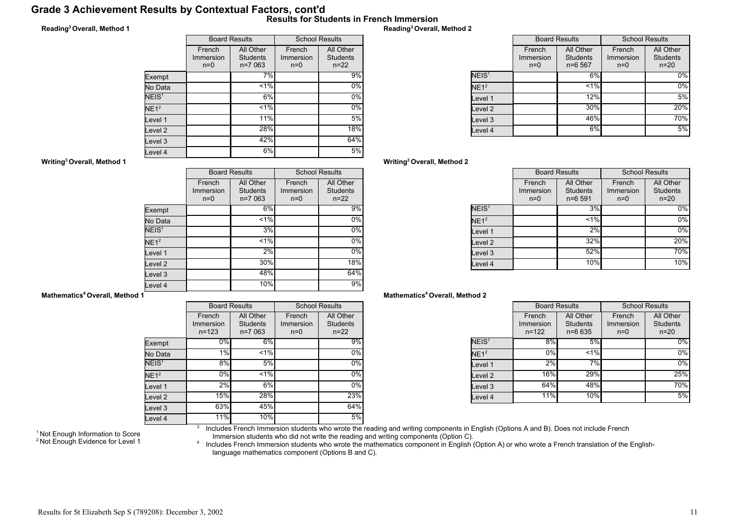### Grade 3 Achievement Results by Contextual Factors, cont'd Results for Students in French Immersion

### Reading<sup>3</sup>Overall, Method 1

|                   | <b>Board Results</b>         |                                          | <b>School Results</b>        |                                          |
|-------------------|------------------------------|------------------------------------------|------------------------------|------------------------------------------|
|                   | French<br>Immersion<br>$n=0$ | All Other<br><b>Students</b><br>$n=7063$ | French<br>Immersion<br>$n=0$ | All Other<br><b>Students</b><br>$n = 22$ |
| Exempt            |                              | 7%                                       |                              | 9%                                       |
| No Data           |                              | $< 1\%$                                  |                              | $0\%$                                    |
| NEIS <sup>1</sup> |                              | 6%                                       |                              | $0\%$                                    |
| NE1 <sup>2</sup>  |                              | $< 1\%$                                  |                              | $0\%$                                    |
| Level 1           |                              | 11%                                      |                              | 5%                                       |
| Level 2           |                              | 28%                                      |                              | 18%                                      |
| Level 3           |                              | 42%                                      |                              | 64%                                      |
| Level 4           |                              | 6%                                       |                              | 5%                                       |

### Reading<sup>3</sup>Overall, Method 2

|                   | <b>Board Results</b>         |                                          | <b>School Results</b>        |                                          |
|-------------------|------------------------------|------------------------------------------|------------------------------|------------------------------------------|
|                   | French<br>Immersion<br>$n=0$ | All Other<br><b>Students</b><br>$n=6567$ | French<br>Immersion<br>$n=0$ | All Other<br><b>Students</b><br>$n = 20$ |
| NEIS <sup>1</sup> |                              | 6%                                       |                              | $0\%$                                    |
| NE1 <sup>2</sup>  |                              | $< 1\%$                                  |                              | $0\%$                                    |
| Level 1           |                              | 12%                                      |                              | 5%                                       |
| lLevel 2          |                              | 30%                                      |                              | 20%                                      |
| Level 3           |                              | 46%                                      |                              | 70%                                      |
| Level 4           |                              | 6%                                       |                              | 5%                                       |

### Writing<sup>3</sup>Overall, Method 2

|                   | <b>Board Results</b>         |                                            | <b>School Results</b>        |                                        |
|-------------------|------------------------------|--------------------------------------------|------------------------------|----------------------------------------|
|                   | French<br>Immersion<br>$n=0$ | All Other<br><b>Students</b><br>$n = 6591$ | French<br>Immersion<br>$n=0$ | All Other<br><b>Students</b><br>$n=20$ |
| NEIS <sup>1</sup> |                              | 3%                                         |                              | $0\%$                                  |
| NE1 <sup>2</sup>  |                              | $< 1\%$                                    |                              | 0%                                     |
| Level 1           |                              | 2%                                         |                              | $0\%$                                  |
| Level 2           |                              | 32%                                        |                              | 20%                                    |
| Level 3           |                              | 52%                                        |                              | 70%                                    |
| Level 4           |                              | 10%                                        |                              | 10%                                    |

#### Mathematics<sup>4</sup> Overall, Method 2

|                   | <b>Board Results</b>             |                                            | <b>School Results</b>        |                                          |
|-------------------|----------------------------------|--------------------------------------------|------------------------------|------------------------------------------|
|                   | French<br>Immersion<br>$n = 122$ | All Other<br><b>Students</b><br>$n = 6635$ | French<br>Immersion<br>$n=0$ | All Other<br><b>Students</b><br>$n = 20$ |
| NEIS <sup>1</sup> | 8%                               | 5%                                         |                              | $0\%$                                    |
| NE1 <sup>2</sup>  | 0%                               | $< 1\%$                                    |                              | $0\%$                                    |
| Level 1           | 2%                               | 7%                                         |                              | 0%                                       |
| Level 2           | <b>16%</b>                       | 29%                                        |                              | 25%                                      |
| Level 3           | 64%                              | 48%                                        |                              | 70%                                      |
| Level 4           | 11%                              | 10%                                        |                              | 5%                                       |

#### Writing<sup>3</sup>Overall, Method 1

|                   |                              | <b>Board Results</b>                     | <b>School Results</b>        |                                          |
|-------------------|------------------------------|------------------------------------------|------------------------------|------------------------------------------|
|                   | French<br>Immersion<br>$n=0$ | All Other<br><b>Students</b><br>$n=7063$ | French<br>Immersion<br>$n=0$ | All Other<br><b>Students</b><br>$n = 22$ |
| Exempt            |                              | 6%                                       |                              | 9%                                       |
| No Data           |                              | $1\%$                                    |                              | $0\%$                                    |
| NEIS <sup>1</sup> |                              | 3%                                       |                              | $0\%$                                    |
| NE1 <sup>2</sup>  |                              | $1\%$                                    |                              | $0\%$                                    |
| Level 1           |                              | 2%                                       |                              | $0\%$                                    |
| evel 2.           |                              | 30%                                      |                              | 18%                                      |
| Level 3           |                              | 48%                                      |                              | 64%                                      |
| evel 4            |                              | 10%                                      |                              | 9%                                       |

#### Mathematics<sup>4</sup> Overall, Method 1

|                   | <b>Board Results</b>             |                                          | <b>School Results</b>        |                                          |
|-------------------|----------------------------------|------------------------------------------|------------------------------|------------------------------------------|
|                   | French<br>Immersion<br>$n = 123$ | All Other<br><b>Students</b><br>$n=7063$ | French<br>Immersion<br>$n=0$ | All Other<br><b>Students</b><br>$n = 22$ |
| Exempt            | 0%                               | 6%                                       |                              | 9%                                       |
| No Data           | 1%                               | $< 1\%$                                  |                              | 0%                                       |
| NEIS <sup>1</sup> | 8%                               | 5%                                       |                              | $0\%$                                    |
| NE1 <sup>2</sup>  | 0%                               | $1\%$                                    |                              | $0\%$                                    |
| Level 1           | 2%                               | 6%                                       |                              | $0\%$                                    |
| Level 2           | 15%                              | 28%                                      |                              | 23%                                      |
| Level 3           | 63%                              | 45%                                      |                              | 64%                                      |
| Level 4           | 11%                              | 10%                                      |                              | 5%                                       |

<sup>1</sup> Not Enough Information to Score <sup>2</sup> Not Enough Evidence for Level 1 3 Includes French Immersion students who wrote the reading and writing components in English (Options A and B). Does not include French

Immersion students who did not write the reading and writing components (Option C).<br>^ Includes French Immersion students who wrote the mathematics component in English (Option A) or who wrote a French translation of the En language mathematics component (Options B and C).

### Results for St Elizabeth Sep S (789208): December 3, 2002 11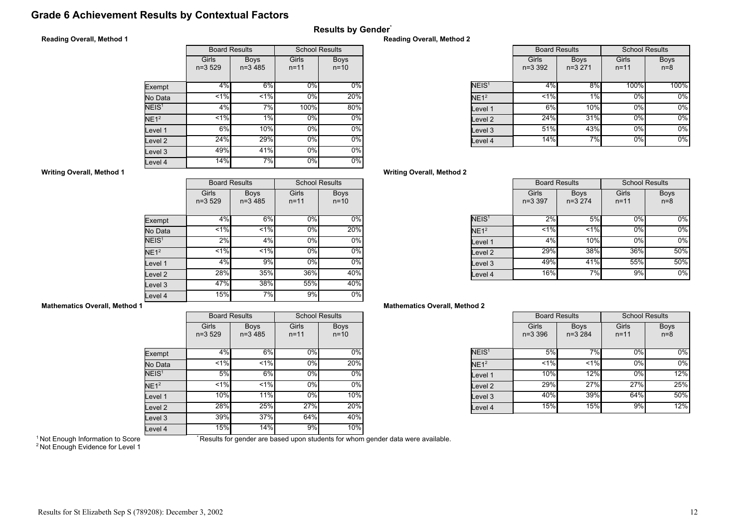## Grade 6 Achievement Results by Contextual Factors

## Results by Gender\*

### Reading Overall, Method 1

|                    |                   | <b>Board Results</b>     | <b>School Results</b> |                       |
|--------------------|-------------------|--------------------------|-----------------------|-----------------------|
|                    | Girls<br>$n=3529$ | <b>Boys</b><br>$n=3,485$ | Girls<br>$n = 11$     | <b>Boys</b><br>$n=10$ |
| Exempt             | 4%                | 6%                       | $0\%$                 | $0\%$                 |
| No Data            | 1%                | 1%                       | 0%                    | 20%                   |
| NEIS <sup>1</sup>  | 4%                | 7%                       | 100%                  | 80%                   |
| NE1 <sup>2</sup>   | $1\%$             | $1\%$                    | 0%                    | $0\%$                 |
| Level 1            | 6%                | 10%                      | 0%                    | $0\%$                 |
| Level <sub>2</sub> | 24%               | 29%                      | 0%                    | $0\%$                 |
| Level 3            | 49%               | 41%                      | 0%                    | $0\%$                 |
| Level 4            | 14%               | 7%                       | 0%                    | $0\%$                 |

### Reading Overall, Method 2

|                   |                    | <b>Board Results</b>    | <b>School Results</b> |                      |
|-------------------|--------------------|-------------------------|-----------------------|----------------------|
|                   | Girls<br>$n=3,392$ | <b>Boys</b><br>$n=3271$ | Girls<br>$n = 11$     | <b>Boys</b><br>$n=8$ |
| NEIS <sup>1</sup> | 4%                 | 8%                      | 100%                  | 100%                 |
| NE1 <sup>2</sup>  | 1%                 | 1%                      | 0%                    | $0\%$                |
| Level 1           | 6%                 | 10%                     | 0%                    | $0\%$                |
| evel 2.           | 24%                | 31%                     | 0%                    | $0\%$                |
| Level 3           | 51%                | 43%                     | 0%                    | $0\%$                |
| Level 4           | 14%                | 7%                      | $0\%$                 | $0\%$                |

### Writing Overall, Method 2

|                   | <b>Board Results</b> |                         | <b>School Results</b> |                      |
|-------------------|----------------------|-------------------------|-----------------------|----------------------|
|                   | Girls<br>$n = 3.397$ | <b>Boys</b><br>$n=3274$ | Girls<br>$n = 11$     | <b>Boys</b><br>$n=8$ |
| NEIS <sup>1</sup> | 2%                   | 5%                      | 0%                    | $0\%$                |
| NE1 <sup>2</sup>  | 1%                   | 1%                      | 0%                    | $0\%$                |
| Level 1           | 4%                   | 10%                     | 0%                    | $0\%$                |
| Level 2           | 29%                  | 38%                     | 36%                   | 50%                  |
| Level 3           | 49%                  | 41%                     | 55%                   | 50%                  |
| Level 4           | 16%                  | 7%                      | 9%                    | 0%                   |

### Mathematics Overall, Method 2

|                         | <b>Board Results</b> |                         | <b>School Results</b> |                      |
|-------------------------|----------------------|-------------------------|-----------------------|----------------------|
|                         | Girls<br>$n = 3,396$ | <b>Boys</b><br>$n=3284$ | Girls<br>$n = 11$     | <b>Boys</b><br>$n=8$ |
| $\overline{\sf NEIS}^1$ | 5%                   | 7%                      | 0%                    | 0%                   |
| NE1 <sup>2</sup>        | $< 1\%$              | $< 1\%$                 | 0%                    | 0%                   |
| Level 1                 | 10%                  | 12%                     | 0%                    | 12%                  |
| Level 2                 | 29%                  | 27%                     | 27%                   | 25%                  |
| Level 3                 | 40%                  | 39%                     | 64%                   | 50%                  |
| Level 4                 | 15%                  | 15%                     | 9%                    | 12%                  |

#### Writing Overall, Method 1

|                   |                   | <b>Board Results</b>     | <b>School Results</b> |                         |
|-------------------|-------------------|--------------------------|-----------------------|-------------------------|
|                   | Girls<br>$n=3529$ | <b>Boys</b><br>$n=3,485$ | Girls<br>$n = 11$     | <b>Boys</b><br>$n = 10$ |
| Exempt            | 4%                | 6%                       | 0%                    | $0\%$                   |
| No Data           | $1\%$             | $1\%$                    | $0\%$                 | 20%                     |
| NEIS <sup>1</sup> | 2%                | 4%                       | 0%                    | 0%                      |
| NE1 <sup>2</sup>  | 1%                | 1%                       | $0\%$                 | $0\%$                   |
| Level 1           | 4%                | 9%                       | 0%                    | $0\%$                   |
| Level 2           | 28%               | 35%                      | 36%                   | 40%                     |
| Level 3           | 47%               | 38%                      | 55%                   | 40%                     |
| Level 4           | 15%               | 7%                       | 9%                    | $0\%$                   |

### Mathematics Overall, Method 1

|                   |                     | <b>Board Results</b>     | <b>School Results</b> |                         |  |
|-------------------|---------------------|--------------------------|-----------------------|-------------------------|--|
|                   | Girls<br>$n = 3529$ | <b>Boys</b><br>$n=3,485$ | Girls<br>$n = 11$     | <b>Boys</b><br>$n = 10$ |  |
| Exempt            | 4%                  | 6%                       | 0%                    | 0%                      |  |
| No Data           | $< 1\%$             | < 1%                     | 0%                    | 20%                     |  |
| NEIS <sup>1</sup> | 5%                  | 6%                       | $0\%$                 | 0%                      |  |
| NE1 <sup>2</sup>  | 1%                  | $1\%$                    | 0%                    | 0%                      |  |
| Level 1           | 10%                 | 11%                      | $0\%$                 | 10%                     |  |
| Level 2           | 28%                 | 25%                      | 27%                   | 20%                     |  |
| Level 3           | 39%                 | 37%                      | 64%                   | 40%                     |  |
| Level 4           | 15%                 | 14%                      | 9%                    | 10%                     |  |

<sup>1</sup> Not Enough Information to Score

\* Results for gender are based upon students for whom gender data were available.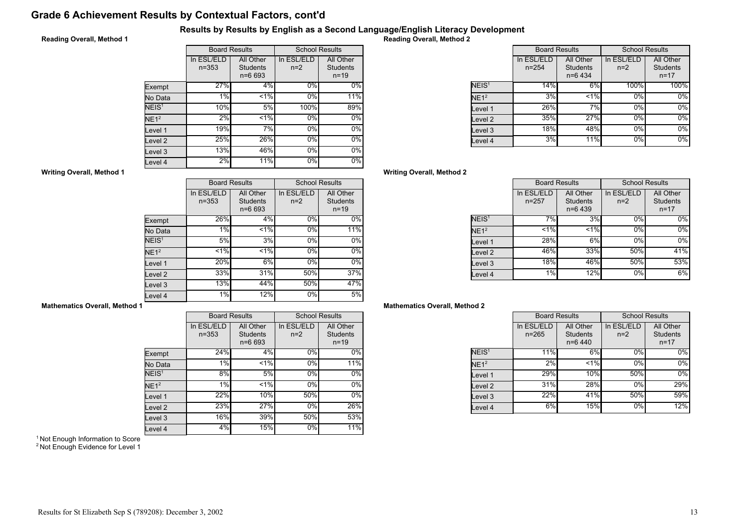# Grade 6 Achievement Results by Contextual Factors, cont'd

### Results by Results by English as a Second Language/English Literacy Development

### Reading Overall, Method 1

|                   | <b>Board Results</b>    |                                            | <b>School Results</b> |                                          |
|-------------------|-------------------------|--------------------------------------------|-----------------------|------------------------------------------|
|                   | In ESL/ELD<br>$n = 353$ | All Other<br><b>Students</b><br>$n = 6693$ | In ESL/ELD<br>$n=2$   | All Other<br><b>Students</b><br>$n = 19$ |
| Exempt            | 27%                     | 4%                                         | $0\%$                 | $0\%$                                    |
| No Data           | 1%                      | $< 1\%$                                    | 0%                    | 11%                                      |
| NEIS <sup>1</sup> | 10%                     | 5%                                         | 100%                  | 89%                                      |
| NE1 <sup>2</sup>  | 2%                      | 1.96                                       | 0%                    | $0\%$                                    |
| Level 1           | 19%                     | 7%                                         | 0%                    | 0%                                       |
| evel 2            | 25%                     | 26%                                        | 0%                    | $0\%$                                    |
| Level 3           | 13%                     | 46%                                        | 0%                    | $0\%$                                    |
| Level 4           | 2%                      | 11%                                        | 0%                    | 0%                                       |

Reading Overall, Method 2

|                   | <b>Board Results</b>    |                                           | <b>School Results</b> |                                          |
|-------------------|-------------------------|-------------------------------------------|-----------------------|------------------------------------------|
|                   | In ESL/ELD<br>$n = 254$ | All Other<br><b>Students</b><br>$n=6$ 434 | In ESL/ELD<br>$n=2$   | All Other<br><b>Students</b><br>$n = 17$ |
| NEIS <sup>1</sup> | 14%                     | 6%                                        | 100%                  | 100%                                     |
| NE1 <sup>2</sup>  | 3%                      | $< 1\%$                                   | 0%                    | 0%                                       |
| evel 1.           | 26%                     | 7%                                        | 0%                    | 0%                                       |
| evel 2.           | 35%                     | 27%                                       | 0%                    | 0%                                       |
| evel 3.           | 18%                     | 48%                                       | 0%                    | 0%                                       |
| evel 4.           | 3%                      | <b>11%</b>                                | 0%                    | 0%                                       |

### Writing Overall, Method 2

|                    | <b>Board Results</b>    |                                           | <b>School Results</b> |                                          |
|--------------------|-------------------------|-------------------------------------------|-----------------------|------------------------------------------|
|                    | In ESL/ELD<br>$n = 257$ | All Other<br><b>Students</b><br>$n=6$ 439 | In ESL/ELD<br>$n=2$   | All Other<br><b>Students</b><br>$n = 17$ |
| NEIS <sup>1</sup>  | 7%                      | 3%                                        | $0\%$                 | $0\%$                                    |
| NE1 <sup>2</sup>   | $< 1\%$                 | < 1%                                      | 0%                    | $0\%$                                    |
| Level 1            | 28%                     | 6%                                        | 0%                    | $0\%$                                    |
| Level <sub>2</sub> | 46%                     | 33%                                       | 50%                   | 41%                                      |
| Level 3            | 18%                     | 46%                                       | 50%                   | 53%                                      |
| Level 4            | 1%                      | 12%                                       | 0%                    | 6%                                       |

### Mathematics Overall, Method 2

|                   | <b>Board Results</b>    |                                           | <b>School Results</b> |                                          |
|-------------------|-------------------------|-------------------------------------------|-----------------------|------------------------------------------|
|                   | In ESL/ELD<br>$n = 265$ | All Other<br><b>Students</b><br>$n=6$ 440 | In ESL/ELD<br>$n=2$   | All Other<br><b>Students</b><br>$n = 17$ |
| NEIS <sup>1</sup> | 11%                     | 6%                                        | 0%                    | $0\%$                                    |
| NE1 <sup>2</sup>  | 2%                      | < 1%                                      | 0%                    | 0%                                       |
| Level 1           | 29%                     | 10%                                       | 50%                   | 0%                                       |
| Level 2           | 31%                     | 28%                                       | 0%                    | 29%                                      |
| Level 3           | 22%                     | 41%                                       | 50%                   | 59%                                      |
| Level 4           | 6%                      | 15%                                       | 0%                    | 12%                                      |

#### Writing Overall, Method 1

|                   |                         | <b>Board Results</b>                       | <b>School Results</b> |                                          |
|-------------------|-------------------------|--------------------------------------------|-----------------------|------------------------------------------|
|                   | In ESL/ELD<br>$n = 353$ | All Other<br><b>Students</b><br>$n = 6693$ | In ESL/ELD<br>$n=2$   | All Other<br><b>Students</b><br>$n = 19$ |
| Exempt            | 26%                     | 4%                                         | 0%                    | 0%                                       |
| No Data           | 1%                      | $\overline{51\%}$                          | 0%                    | 11%                                      |
| NEIS <sup>1</sup> | 5%                      | 3%                                         | $0\%$                 | 0%                                       |
| NE1 <sup>2</sup>  | 1%                      | $1\%$                                      | 0%                    | 0%                                       |
| Level 1           | 20%                     | 6%                                         | 0%                    | $0\%$                                    |
| evel 2            | 33%                     | 31%                                        | 50%                   | 37%                                      |
| Level 3           | 13%                     | 44%                                        | 50%                   | 47%                                      |
| Level 4           | $1\%$                   | 12%                                        | 0%                    | 5%                                       |

### Mathematics Overall, Method 1

|                    |                         | <b>Board Results</b>                       |                     | <b>School Results</b>                    |
|--------------------|-------------------------|--------------------------------------------|---------------------|------------------------------------------|
|                    | In ESL/ELD<br>$n = 353$ | All Other<br><b>Students</b><br>$n = 6693$ | In ESL/ELD<br>$n=2$ | All Other<br><b>Students</b><br>$n = 19$ |
| Exempt             | 24%                     | 4%                                         | 0%                  | 0%                                       |
| No Data            | 1%                      | $< 1\%$                                    | 0%                  | 11%                                      |
| NEIS <sup>1</sup>  | 8%                      | 5%                                         | $0\%$               | 0%                                       |
| NE1 <sup>2</sup>   | 1%                      | 1%                                         | $0\%$               | $0\%$                                    |
| Level 1            | 22%                     | 10%                                        | 50%                 | 0%                                       |
| Level <sub>2</sub> | 23%                     | 27%                                        | 0%                  | 26%                                      |
| Level 3            | 16%                     | 39%                                        | 50%                 | 53%                                      |
| Level 4            | 4%                      | 15%                                        | 0%                  | $\overline{11}\%$                        |

<sup>1</sup> Not Enough Information to Score